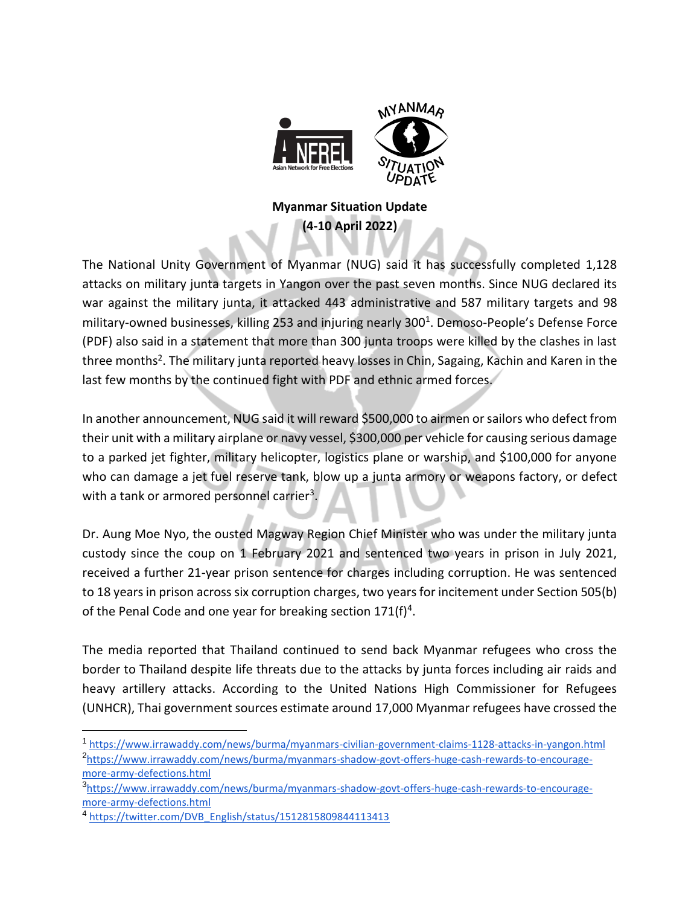

## **Myanmar Situation Update (4-10 April 2022)**

The National Unity Government of Myanmar (NUG) said it has successfully completed 1,128 attacks on military junta targets in Yangon over the past seven months. Since NUG declared its war against the military junta, it attacked 443 administrative and 587 military targets and 98 military-owned businesses, killing 253 and injuring nearly 300<sup>1</sup>. Demoso-People's Defense Force (PDF) also said in a statement that more than 300 junta troops were killed by the clashes in last three months<sup>2</sup>. The military junta reported heavy losses in Chin, Sagaing, Kachin and Karen in the last few months by the continued fight with PDF and ethnic armed forces.

In another announcement, NUG said it will reward \$500,000 to airmen or sailors who defect from their unit with a military airplane or navy vessel, \$300,000 per vehicle for causing serious damage to a parked jet fighter, military helicopter, logistics plane or warship, and \$100,000 for anyone who can damage a jet fuel reserve tank, blow up a junta armory or weapons factory, or defect with a tank or armored personnel carrier<sup>3</sup>.

Dr. Aung Moe Nyo, the ousted Magway Region Chief Minister who was under the military junta custody since the coup on 1 February 2021 and sentenced two years in prison in July 2021, received a further 21-year prison sentence for charges including corruption. He was sentenced to 18 years in prison across six corruption charges, two years for incitement under Section 505(b) of the Penal Code and one year for breaking section  $171(f)^4$ .

The media reported that Thailand continued to send back Myanmar refugees who cross the border to Thailand despite life threats due to the attacks by junta forces including air raids and heavy artillery attacks. According to the United Nations High Commissioner for Refugees (UNHCR), Thai government sources estimate around 17,000 Myanmar refugees have crossed the

<sup>1</sup> <https://www.irrawaddy.com/news/burma/myanmars-civilian-government-claims-1128-attacks-in-yangon.html> 2 [https://www.irrawaddy.com/news/burma/myanmars-shadow-govt-offers-huge-cash-rewards-to-encourage](https://www.irrawaddy.com/news/burma/myanmars-shadow-govt-offers-huge-cash-rewards-to-encourage-more-army-defections.html)[more-army-defections.html](https://www.irrawaddy.com/news/burma/myanmars-shadow-govt-offers-huge-cash-rewards-to-encourage-more-army-defections.html)

<sup>3</sup> [https://www.irrawaddy.com/news/burma/myanmars-shadow-govt-offers-huge-cash-rewards-to-encourage](https://www.irrawaddy.com/news/burma/myanmars-shadow-govt-offers-huge-cash-rewards-to-encourage-more-army-defections.html)[more-army-defections.html](https://www.irrawaddy.com/news/burma/myanmars-shadow-govt-offers-huge-cash-rewards-to-encourage-more-army-defections.html)

<sup>4</sup> [https://twitter.com/DVB\\_English/status/1512815809844113413](https://twitter.com/DVB_English/status/1512815809844113413)